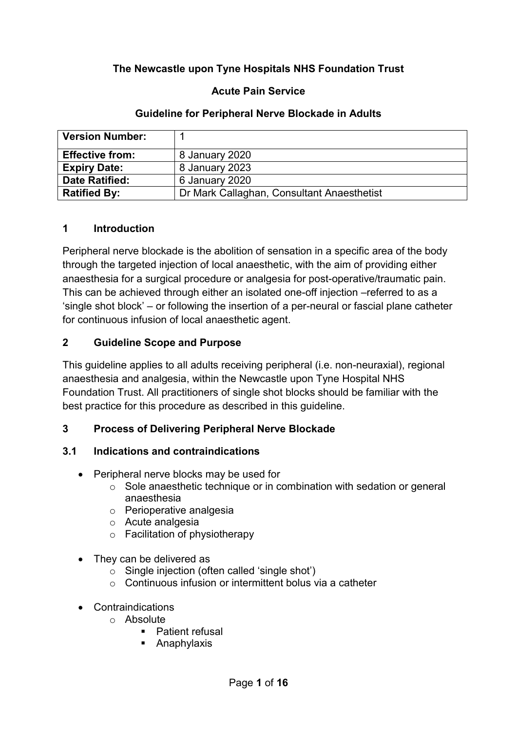# **The Newcastle upon Tyne Hospitals NHS Foundation Trust**

### **Acute Pain Service**

#### **Guideline for Peripheral Nerve Blockade in Adults**

| <b>Version Number:</b> |                                            |
|------------------------|--------------------------------------------|
| <b>Effective from:</b> | 8 January 2020                             |
| <b>Expiry Date:</b>    | 8 January 2023                             |
| <b>Date Ratified:</b>  | 6 January 2020                             |
| <b>Ratified By:</b>    | Dr Mark Callaghan, Consultant Anaesthetist |

#### **1 Introduction**

Peripheral nerve blockade is the abolition of sensation in a specific area of the body through the targeted injection of local anaesthetic, with the aim of providing either anaesthesia for a surgical procedure or analgesia for post-operative/traumatic pain. This can be achieved through either an isolated one-off injection –referred to as a 'single shot block' – or following the insertion of a per-neural or fascial plane catheter for continuous infusion of local anaesthetic agent.

### **2 Guideline Scope and Purpose**

This guideline applies to all adults receiving peripheral (i.e. non-neuraxial), regional anaesthesia and analgesia, within the Newcastle upon Tyne Hospital NHS Foundation Trust. All practitioners of single shot blocks should be familiar with the best practice for this procedure as described in this guideline.

#### **3 Process of Delivering Peripheral Nerve Blockade**

#### **3.1 Indications and contraindications**

- Peripheral nerve blocks may be used for
	- o Sole anaesthetic technique or in combination with sedation or general anaesthesia
	- o Perioperative analgesia
	- o Acute analgesia
	- o Facilitation of physiotherapy
- They can be delivered as
	- o Single injection (often called 'single shot')
	- o Continuous infusion or intermittent bolus via a catheter
- Contraindications
	- o Absolute
		- Patient refusal
		- **Anaphylaxis**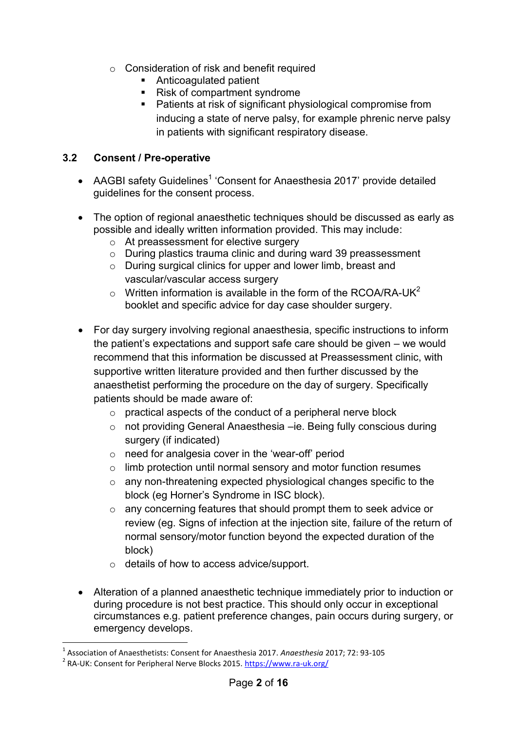- o Consideration of risk and benefit required
	- **Anticoagulated patient**
	- Risk of compartment syndrome
	- **Patients at risk of significant physiological compromise from** inducing a state of nerve palsy, for example phrenic nerve palsy in patients with significant respiratory disease.

### **3.2 Consent / Pre-operative**

- AAGBI safety Guidelines<sup>1</sup> 'Consent for Anaesthesia 2017' provide detailed guidelines for the consent process.
- The option of regional anaesthetic techniques should be discussed as early as possible and ideally written information provided. This may include:
	- o At preassessment for elective surgery
	- o During plastics trauma clinic and during ward 39 preassessment
	- o During surgical clinics for upper and lower limb, breast and vascular/vascular access surgery
	- $\circ$  Written information is available in the form of the RCOA/RA-UK<sup>2</sup> booklet and specific advice for day case shoulder surgery.
- For day surgery involving regional anaesthesia, specific instructions to inform the patient's expectations and support safe care should be given – we would recommend that this information be discussed at Preassessment clinic, with supportive written literature provided and then further discussed by the anaesthetist performing the procedure on the day of surgery. Specifically patients should be made aware of:
	- o practical aspects of the conduct of a peripheral nerve block
	- o not providing General Anaesthesia –ie. Being fully conscious during surgery (if indicated)
	- o need for analgesia cover in the 'wear-off' period
	- o limb protection until normal sensory and motor function resumes
	- o any non-threatening expected physiological changes specific to the block (eg Horner's Syndrome in ISC block).
	- o any concerning features that should prompt them to seek advice or review (eg. Signs of infection at the injection site, failure of the return of normal sensory/motor function beyond the expected duration of the block)
	- o details of how to access advice/support.
- Alteration of a planned anaesthetic technique immediately prior to induction or during procedure is not best practice. This should only occur in exceptional circumstances e.g. patient preference changes, pain occurs during surgery, or emergency develops.

1

<sup>1</sup> Association of Anaesthetists: Consent for Anaesthesia 2017. *Anaesthesia* 2017; 72: 93-105

<sup>&</sup>lt;sup>2</sup> RA-UK: Consent for Peripheral Nerve Blocks 2015.<https://www.ra-uk.org/>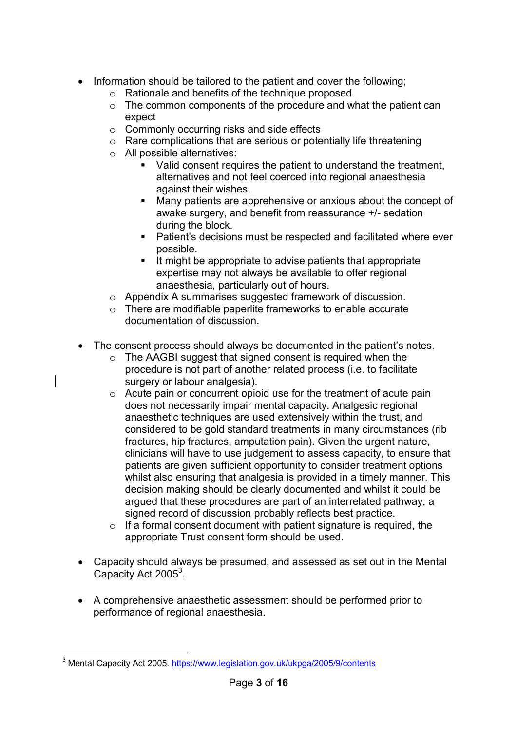- Information should be tailored to the patient and cover the following;
	- o Rationale and benefits of the technique proposed
	- $\circ$  The common components of the procedure and what the patient can expect
	- o Commonly occurring risks and side effects
	- o Rare complications that are serious or potentially life threatening
	- o All possible alternatives:
		- Valid consent requires the patient to understand the treatment, alternatives and not feel coerced into regional anaesthesia against their wishes.
		- Many patients are apprehensive or anxious about the concept of awake surgery, and benefit from reassurance +/- sedation during the block.
		- Patient's decisions must be respected and facilitated where ever possible.
		- $\blacksquare$  It might be appropriate to advise patients that appropriate expertise may not always be available to offer regional anaesthesia, particularly out of hours.
	- o Appendix A summarises suggested framework of discussion.
	- o There are modifiable paperlite frameworks to enable accurate documentation of discussion.
- The consent process should always be documented in the patient's notes.
	- o The AAGBI suggest that signed consent is required when the procedure is not part of another related process (i.e. to facilitate surgery or labour analgesia).
	- o Acute pain or concurrent opioid use for the treatment of acute pain does not necessarily impair mental capacity. Analgesic regional anaesthetic techniques are used extensively within the trust, and considered to be gold standard treatments in many circumstances (rib fractures, hip fractures, amputation pain). Given the urgent nature, clinicians will have to use judgement to assess capacity, to ensure that patients are given sufficient opportunity to consider treatment options whilst also ensuring that analgesia is provided in a timely manner. This decision making should be clearly documented and whilst it could be argued that these procedures are part of an interrelated pathway, a signed record of discussion probably reflects best practice.
	- $\circ$  If a formal consent document with patient signature is required, the appropriate Trust consent form should be used.
- Capacity should always be presumed, and assessed as set out in the Mental Capacity Act 2005<sup>3</sup>.
- A comprehensive anaesthetic assessment should be performed prior to performance of regional anaesthesia.

**<sup>.</sup>** <sup>3</sup> Mental Capacity Act 2005.<https://www.legislation.gov.uk/ukpga/2005/9/contents>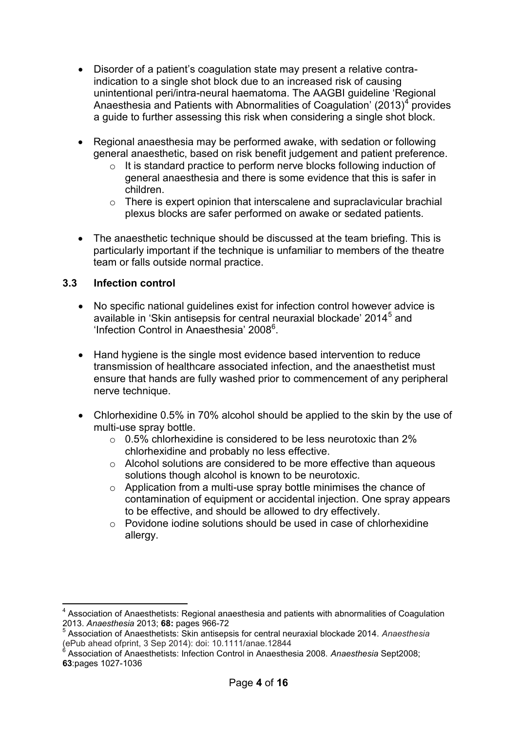- Disorder of a patient's coagulation state may present a relative contraindication to a single shot block due to an increased risk of causing unintentional peri/intra-neural haematoma. The AAGBI guideline 'Regional Anaesthesia and Patients with Abnormalities of Coagulation' (2013)<sup>4</sup> provides a guide to further assessing this risk when considering a single shot block.
- Regional anaesthesia may be performed awake, with sedation or following general anaesthetic, based on risk benefit judgement and patient preference.
	- o It is standard practice to perform nerve blocks following induction of general anaesthesia and there is some evidence that this is safer in children.
	- $\circ$  There is expert opinion that interscalene and supraclavicular brachial plexus blocks are safer performed on awake or sedated patients.
- The anaesthetic technique should be discussed at the team briefing. This is particularly important if the technique is unfamiliar to members of the theatre team or falls outside normal practice.

#### **3.3 Infection control**

 $\overline{\phantom{a}}$ 

- No specific national guidelines exist for infection control however advice is available in 'Skin antisepsis for central neuraxial blockade' 2014<sup>5</sup> and 'Infection Control in Anaesthesia' 2008<sup>6</sup>.
- Hand hygiene is the single most evidence based intervention to reduce transmission of healthcare associated infection, and the anaesthetist must ensure that hands are fully washed prior to commencement of any peripheral nerve technique.
- Chlorhexidine 0.5% in 70% alcohol should be applied to the skin by the use of multi-use spray bottle.
	- $\circ$  0.5% chlorhexidine is considered to be less neurotoxic than 2% chlorhexidine and probably no less effective.
	- o Alcohol solutions are considered to be more effective than aqueous solutions though alcohol is known to be neurotoxic.
	- o Application from a multi-use spray bottle minimises the chance of contamination of equipment or accidental injection. One spray appears to be effective, and should be allowed to dry effectively.
	- o Povidone iodine solutions should be used in case of chlorhexidine allergy.

<sup>&</sup>lt;sup>4</sup> Association of Anaesthetists: Regional anaesthesia and patients with abnormalities of Coagulation 2013. *Anaesthesia* 2013; **68:** pages 966-72 5

Association of Anaesthetists: Skin antisepsis for central neuraxial blockade 2014. *Anaesthesia*  (ePub ahead ofprint, 3 Sep 2014): doi: 10.1111/anae.12844 6

Association of Anaesthetists: Infection Control in Anaesthesia 2008. *Anaesthesia* Sept2008; **63**:pages 1027-1036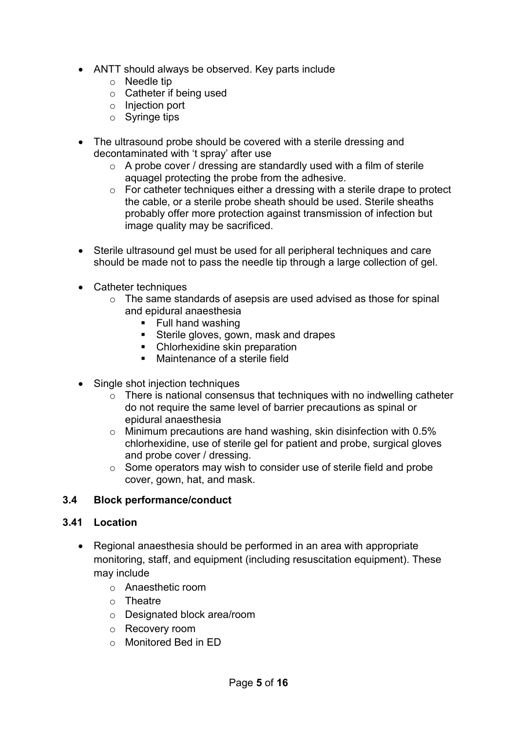- ANTT should always be observed. Key parts include
	- o Needle tip
	- o Catheter if being used
	- o Injection port
	- o Syringe tips
- The ultrasound probe should be covered with a sterile dressing and decontaminated with 't spray' after use
	- $\circ$  A probe cover / dressing are standardly used with a film of sterile aquagel protecting the probe from the adhesive.
	- $\circ$  For catheter techniques either a dressing with a sterile drape to protect the cable, or a sterile probe sheath should be used. Sterile sheaths probably offer more protection against transmission of infection but image quality may be sacrificed.
- Sterile ultrasound gel must be used for all peripheral techniques and care should be made not to pass the needle tip through a large collection of gel.
- Catheter techniques
	- o The same standards of asepsis are used advised as those for spinal and epidural anaesthesia
		- $\blacksquare$  Full hand washing
		- **Sterile gloves, gown, mask and drapes**
		- Chlorhexidine skin preparation
		- Maintenance of a sterile field
- Single shot injection techniques
	- $\circ$  There is national consensus that techniques with no indwelling catheter do not require the same level of barrier precautions as spinal or epidural anaesthesia
	- $\circ$  Minimum precautions are hand washing, skin disinfection with 0.5% chlorhexidine, use of sterile gel for patient and probe, surgical gloves and probe cover / dressing.
	- o Some operators may wish to consider use of sterile field and probe cover, gown, hat, and mask.

#### **3.4 Block performance/conduct**

#### **3.41 Location**

- Regional anaesthesia should be performed in an area with appropriate monitoring, staff, and equipment (including resuscitation equipment). These may include
	- o Anaesthetic room
	- o Theatre
	- o Designated block area/room
	- o Recovery room
	- o Monitored Bed in ED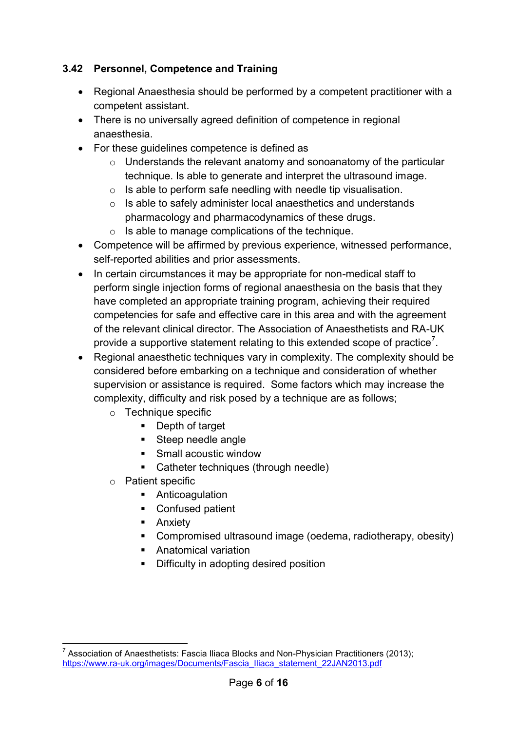# **3.42 Personnel, Competence and Training**

- Regional Anaesthesia should be performed by a competent practitioner with a competent assistant.
- There is no universally agreed definition of competence in regional anaesthesia.
- For these guidelines competence is defined as
	- $\circ$  Understands the relevant anatomy and sonoanatomy of the particular technique. Is able to generate and interpret the ultrasound image.
	- $\circ$  Is able to perform safe needling with needle tip visualisation.
	- o Is able to safely administer local anaesthetics and understands pharmacology and pharmacodynamics of these drugs.
	- o Is able to manage complications of the technique.
- Competence will be affirmed by previous experience, witnessed performance, self-reported abilities and prior assessments.
- In certain circumstances it may be appropriate for non-medical staff to perform single injection forms of regional anaesthesia on the basis that they have completed an appropriate training program, achieving their required competencies for safe and effective care in this area and with the agreement of the relevant clinical director. The Association of Anaesthetists and RA-UK provide a supportive statement relating to this extended scope of practice<sup>7</sup>.
- Regional anaesthetic techniques vary in complexity. The complexity should be considered before embarking on a technique and consideration of whether supervision or assistance is required. Some factors which may increase the complexity, difficulty and risk posed by a technique are as follows;
	- o Technique specific
		- **Depth of target**
		- Steep needle angle
		- Small acoustic window
		- Catheter techniques (through needle)
	- o Patient specific
		- **Anticoagulation**
		- Confused patient
		- **-** Anxiety
		- Compromised ultrasound image (oedema, radiotherapy, obesity)
		- **Anatomical variation**
		- Difficulty in adopting desired position

<sup>————————————————————&</sup>lt;br><sup>7</sup> Association of Anaesthetists: Fascia Iliaca Blocks and Non-Physician Practitioners (2013); [https://www.ra-uk.org/images/Documents/Fascia\\_Iliaca\\_statement\\_22JAN2013.pdf](https://www.ra-uk.org/images/Documents/Fascia_Iliaca_statement_22JAN2013.pdf)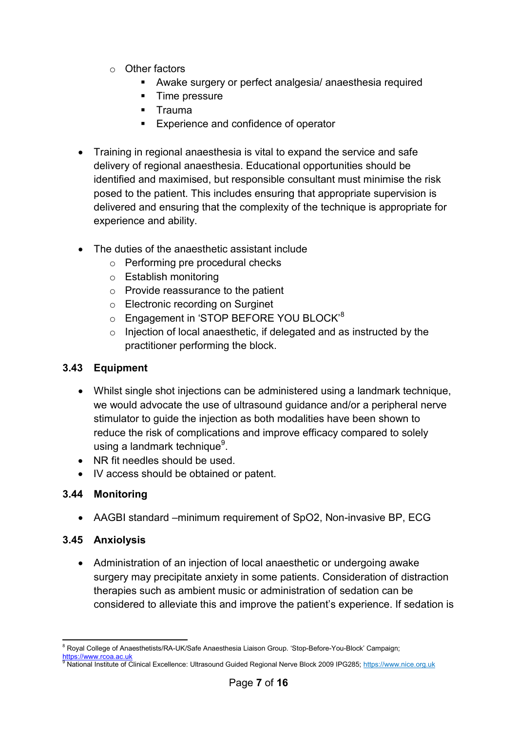- o Other factors
	- Awake surgery or perfect analgesia/ anaesthesia required
	- **Time pressure**
	- **Trauma**
	- **Experience and confidence of operator**
- Training in regional anaesthesia is vital to expand the service and safe delivery of regional anaesthesia. Educational opportunities should be identified and maximised, but responsible consultant must minimise the risk posed to the patient. This includes ensuring that appropriate supervision is delivered and ensuring that the complexity of the technique is appropriate for experience and ability.
- The duties of the anaesthetic assistant include
	- o Performing pre procedural checks
	- o Establish monitoring
	- o Provide reassurance to the patient
	- o Electronic recording on Surginet
	- o Engagement in 'STOP BEFORE YOU BLOCK<sup>'8</sup>
	- o Injection of local anaesthetic, if delegated and as instructed by the practitioner performing the block.

#### **3.43 Equipment**

- Whilst single shot injections can be administered using a landmark technique, we would advocate the use of ultrasound guidance and/or a peripheral nerve stimulator to guide the injection as both modalities have been shown to reduce the risk of complications and improve efficacy compared to solely using a landmark technique<sup>9</sup>.
- NR fit needles should be used.
- IV access should be obtained or patent.

#### **3.44 Monitoring**

AAGBI standard –minimum requirement of SpO2, Non-invasive BP, ECG

#### **3.45 Anxiolysis**

 Administration of an injection of local anaesthetic or undergoing awake surgery may precipitate anxiety in some patients. Consideration of distraction therapies such as ambient music or administration of sedation can be considered to alleviate this and improve the patient's experience. If sedation is

**<sup>.</sup>** <sup>8</sup> Royal College of Anaesthetists/RA-UK/Safe Anaesthesia Liaison Group. 'Stop-Before-You-Block' Campaign; [https://www.rcoa.ac.uk](https://www.rcoa.ac.uk/)

<sup>9</sup> National Institute of Clinical Excellence: Ultrasound Guided Regional Nerve Block 2009 IPG285; https://www.nice.org.uk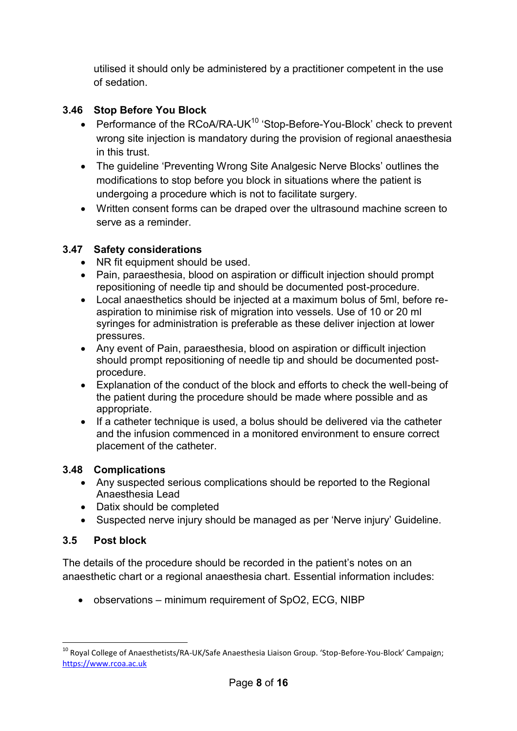utilised it should only be administered by a practitioner competent in the use of sedation.

# **3.46 Stop Before You Block**

- Performance of the RCoA/RA-UK $10$  'Stop-Before-You-Block' check to prevent wrong site injection is mandatory during the provision of regional anaesthesia in this trust.
- The guideline 'Preventing Wrong Site Analgesic Nerve Blocks' outlines the modifications to stop before you block in situations where the patient is undergoing a procedure which is not to facilitate surgery.
- Written consent forms can be draped over the ultrasound machine screen to serve as a reminder.

## **3.47 Safety considerations**

- NR fit equipment should be used.
- Pain, paraesthesia, blood on aspiration or difficult injection should prompt repositioning of needle tip and should be documented post-procedure.
- Local anaesthetics should be injected at a maximum bolus of 5ml, before reaspiration to minimise risk of migration into vessels. Use of 10 or 20 ml syringes for administration is preferable as these deliver injection at lower pressures.
- Any event of Pain, paraesthesia, blood on aspiration or difficult injection should prompt repositioning of needle tip and should be documented postprocedure.
- Explanation of the conduct of the block and efforts to check the well-being of the patient during the procedure should be made where possible and as appropriate.
- If a catheter technique is used, a bolus should be delivered via the catheter and the infusion commenced in a monitored environment to ensure correct placement of the catheter.

## **3.48 Complications**

- Any suspected serious complications should be reported to the Regional Anaesthesia Lead
- Datix should be completed
- Suspected nerve injury should be managed as per 'Nerve injury' Guideline.

## **3.5 Post block**

The details of the procedure should be recorded in the patient's notes on an anaesthetic chart or a regional anaesthesia chart. Essential information includes:

• observations – minimum requirement of SpO2, ECG, NIBP

<sup>1</sup> <sup>10</sup> Royal College of Anaesthetists/RA-UK/Safe Anaesthesia Liaison Group. 'Stop-Before-You-Block' Campaign; [https://www.rcoa.ac.uk](https://www.rcoa.ac.uk/)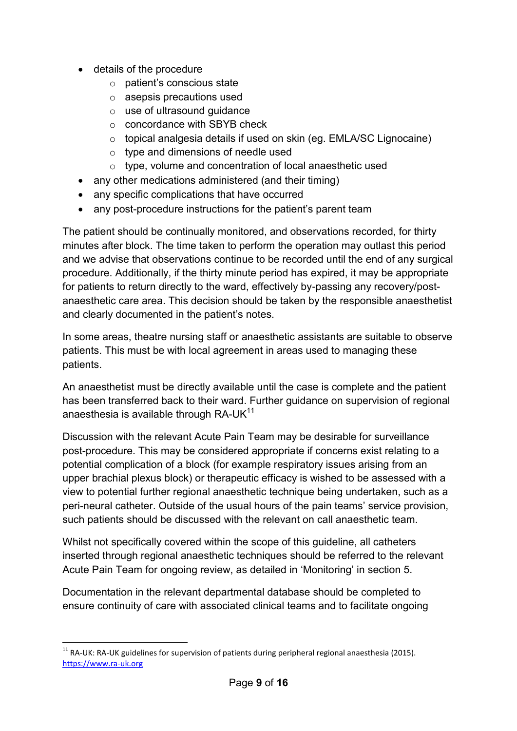- details of the procedure
	- o patient's conscious state
	- o asepsis precautions used
	- o use of ultrasound guidance
	- o concordance with SBYB check
	- o topical analgesia details if used on skin (eg. EMLA/SC Lignocaine)
	- o type and dimensions of needle used
	- o type, volume and concentration of local anaesthetic used
- any other medications administered (and their timing)
- any specific complications that have occurred
- any post-procedure instructions for the patient's parent team

The patient should be continually monitored, and observations recorded, for thirty minutes after block. The time taken to perform the operation may outlast this period and we advise that observations continue to be recorded until the end of any surgical procedure. Additionally, if the thirty minute period has expired, it may be appropriate for patients to return directly to the ward, effectively by-passing any recovery/postanaesthetic care area. This decision should be taken by the responsible anaesthetist and clearly documented in the patient's notes.

In some areas, theatre nursing staff or anaesthetic assistants are suitable to observe patients. This must be with local agreement in areas used to managing these patients.

An anaesthetist must be directly available until the case is complete and the patient has been transferred back to their ward. Further guidance on supervision of regional anaesthesia is available through RA-UK $^{11}$ 

Discussion with the relevant Acute Pain Team may be desirable for surveillance post-procedure. This may be considered appropriate if concerns exist relating to a potential complication of a block (for example respiratory issues arising from an upper brachial plexus block) or therapeutic efficacy is wished to be assessed with a view to potential further regional anaesthetic technique being undertaken, such as a peri-neural catheter. Outside of the usual hours of the pain teams' service provision, such patients should be discussed with the relevant on call anaesthetic team.

Whilst not specifically covered within the scope of this guideline, all catheters inserted through regional anaesthetic techniques should be referred to the relevant Acute Pain Team for ongoing review, as detailed in 'Monitoring' in section 5.

Documentation in the relevant departmental database should be completed to ensure continuity of care with associated clinical teams and to facilitate ongoing

1

<sup>&</sup>lt;sup>11</sup> RA-UK: RA-UK guidelines for supervision of patients during peripheral regional anaesthesia (2015). [https://www.ra-uk.org](https://www.ra-uk.org/)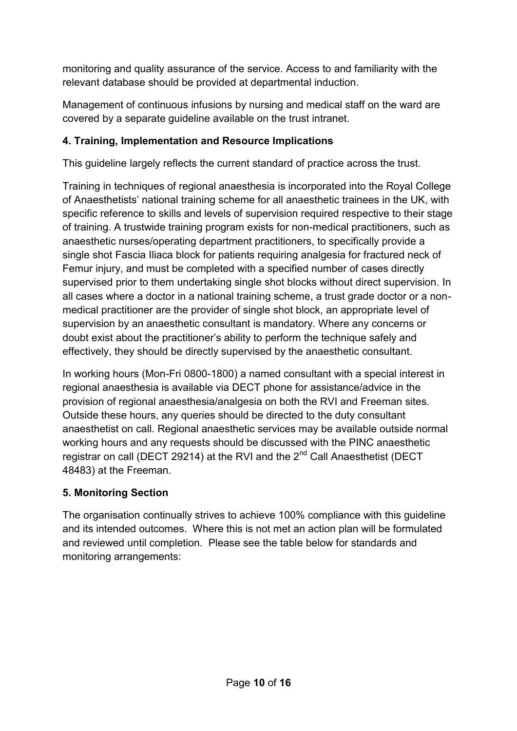monitoring and quality assurance of the service. Access to and familiarity with the relevant database should be provided at departmental induction.

Management of continuous infusions by nursing and medical staff on the ward are covered by a separate guideline available on the trust intranet.

# **4. Training, Implementation and Resource Implications**

This guideline largely reflects the current standard of practice across the trust.

Training in techniques of regional anaesthesia is incorporated into the Royal College of Anaesthetists' national training scheme for all anaesthetic trainees in the UK, with specific reference to skills and levels of supervision required respective to their stage of training. A trustwide training program exists for non-medical practitioners, such as anaesthetic nurses/operating department practitioners, to specifically provide a single shot Fascia Iliaca block for patients requiring analgesia for fractured neck of Femur injury, and must be completed with a specified number of cases directly supervised prior to them undertaking single shot blocks without direct supervision. In all cases where a doctor in a national training scheme, a trust grade doctor or a nonmedical practitioner are the provider of single shot block, an appropriate level of supervision by an anaesthetic consultant is mandatory. Where any concerns or doubt exist about the practitioner's ability to perform the technique safely and effectively, they should be directly supervised by the anaesthetic consultant.

In working hours (Mon-Fri 0800-1800) a named consultant with a special interest in regional anaesthesia is available via DECT phone for assistance/advice in the provision of regional anaesthesia/analgesia on both the RVI and Freeman sites. Outside these hours, any queries should be directed to the duty consultant anaesthetist on call. Regional anaesthetic services may be available outside normal working hours and any requests should be discussed with the PINC anaesthetic registrar on call (DECT 29214) at the RVI and the 2<sup>nd</sup> Call Anaesthetist (DECT 48483) at the Freeman.

## **5. Monitoring Section**

The organisation continually strives to achieve 100% compliance with this guideline and its intended outcomes. Where this is not met an action plan will be formulated and reviewed until completion. Please see the table below for standards and monitoring arrangements: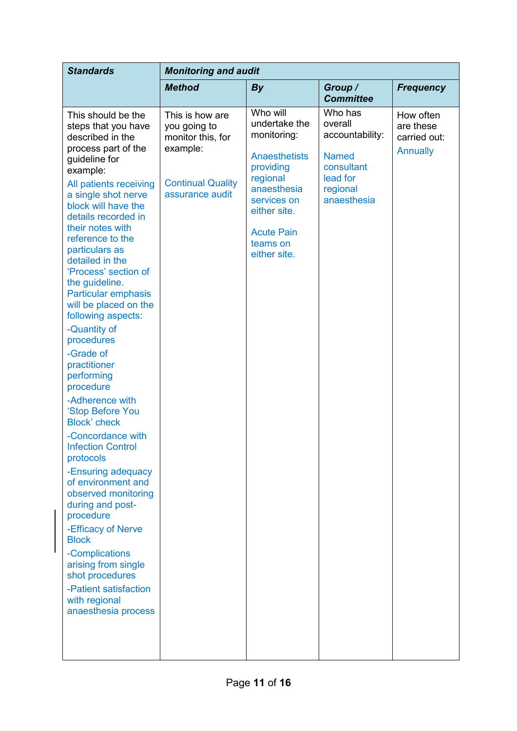| <b>Standards</b>                                                                                                                                                                                                                                                                                                                                                                                                                                                                                                                                                                                                                                                                                                                                                                                                                                                                                       | <b>Monitoring and audit</b>                                                                                     |                                                                                                                                                                                          |                                                                                                            |                                                           |  |
|--------------------------------------------------------------------------------------------------------------------------------------------------------------------------------------------------------------------------------------------------------------------------------------------------------------------------------------------------------------------------------------------------------------------------------------------------------------------------------------------------------------------------------------------------------------------------------------------------------------------------------------------------------------------------------------------------------------------------------------------------------------------------------------------------------------------------------------------------------------------------------------------------------|-----------------------------------------------------------------------------------------------------------------|------------------------------------------------------------------------------------------------------------------------------------------------------------------------------------------|------------------------------------------------------------------------------------------------------------|-----------------------------------------------------------|--|
|                                                                                                                                                                                                                                                                                                                                                                                                                                                                                                                                                                                                                                                                                                                                                                                                                                                                                                        | <b>Method</b>                                                                                                   | <b>By</b>                                                                                                                                                                                | Group /<br><b>Committee</b>                                                                                | <b>Frequency</b>                                          |  |
| This should be the<br>steps that you have<br>described in the<br>process part of the<br>guideline for<br>example:<br>All patients receiving<br>a single shot nerve<br>block will have the<br>details recorded in<br>their notes with<br>reference to the<br>particulars as<br>detailed in the<br>'Process' section of<br>the guideline.<br>Particular emphasis<br>will be placed on the<br>following aspects:<br>-Quantity of<br>procedures<br>-Grade of<br>practitioner<br>performing<br>procedure<br>-Adherence with<br>'Stop Before You<br><b>Block'</b> check<br>-Concordance with<br><b>Infection Control</b><br>protocols<br>-Ensuring adequacy<br>of environment and<br>observed monitoring<br>during and post-<br>procedure<br>-Efficacy of Nerve<br><b>Block</b><br>-Complications<br>arising from single<br>shot procedures<br>-Patient satisfaction<br>with regional<br>anaesthesia process | This is how are<br>you going to<br>monitor this, for<br>example:<br><b>Continual Quality</b><br>assurance audit | Who will<br>undertake the<br>monitoring:<br><b>Anaesthetists</b><br>providing<br>regional<br>anaesthesia<br>services on<br>either site.<br><b>Acute Pain</b><br>teams on<br>either site. | Who has<br>overall<br>accountability:<br><b>Named</b><br>consultant<br>lead for<br>regional<br>anaesthesia | How often<br>are these<br>carried out:<br><b>Annually</b> |  |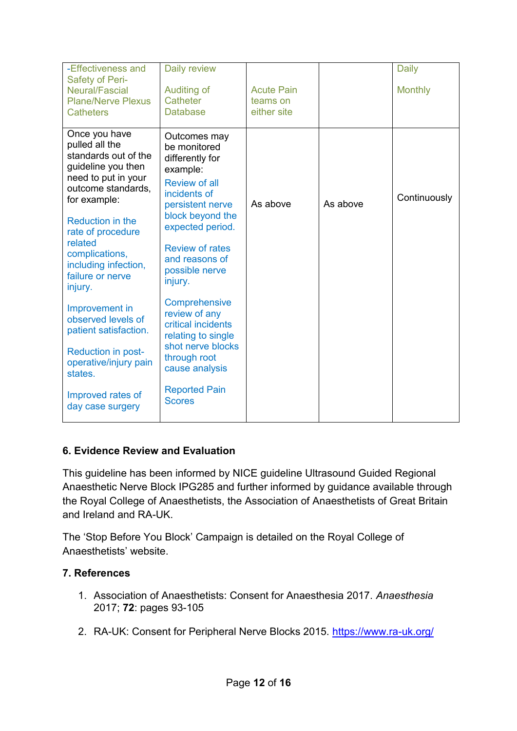| -Effectiveness and<br><b>Safety of Peri-</b>                                     | Daily review                                                               |                               |          | <b>Daily</b>   |
|----------------------------------------------------------------------------------|----------------------------------------------------------------------------|-------------------------------|----------|----------------|
| <b>Neural/Fascial</b><br><b>Plane/Nerve Plexus</b>                               | Auditing of<br>Catheter                                                    | <b>Acute Pain</b><br>teams on |          | <b>Monthly</b> |
| <b>Catheters</b>                                                                 | <b>Database</b>                                                            | either site                   |          |                |
| Once you have<br>pulled all the<br>standards out of the<br>guideline you then    | Outcomes may<br>be monitored<br>differently for<br>example:                |                               |          |                |
| need to put in your<br>outcome standards,<br>for example:                        | <b>Review of all</b><br>incidents of<br>persistent nerve                   | As above                      | As above | Continuously   |
| Reduction in the<br>rate of procedure                                            | block beyond the<br>expected period.                                       |                               |          |                |
| related<br>complications,<br>including infection,<br>failure or nerve<br>injury. | <b>Review of rates</b><br>and reasons of<br>possible nerve<br>injury.      |                               |          |                |
| Improvement in<br>observed levels of<br>patient satisfaction.                    | Comprehensive<br>review of any<br>critical incidents<br>relating to single |                               |          |                |
| Reduction in post-<br>operative/injury pain<br>states.                           | shot nerve blocks<br>through root<br>cause analysis                        |                               |          |                |
| Improved rates of<br>day case surgery                                            | <b>Reported Pain</b><br><b>Scores</b>                                      |                               |          |                |

#### **6. Evidence Review and Evaluation**

This guideline has been informed by NICE guideline Ultrasound Guided Regional Anaesthetic Nerve Block IPG285 and further informed by guidance available through the Royal College of Anaesthetists, the Association of Anaesthetists of Great Britain and Ireland and RA-UK.

The 'Stop Before You Block' Campaign is detailed on the Royal College of Anaesthetists' website.

#### **7. References**

- 1. Association of Anaesthetists: Consent for Anaesthesia 2017. *Anaesthesia* 2017; **72**: pages 93-105
- 2. RA-UK: Consent for Peripheral Nerve Blocks 2015.<https://www.ra-uk.org/>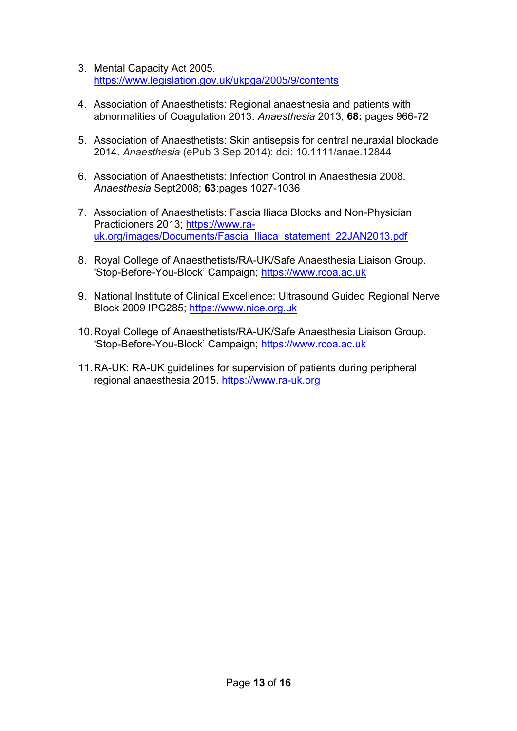- 3. Mental Capacity Act 2005. <https://www.legislation.gov.uk/ukpga/2005/9/contents>
- 4. Association of Anaesthetists: Regional anaesthesia and patients with abnormalities of Coagulation 2013. *Anaesthesia* 2013; **68:** pages 966-72
- 5. Association of Anaesthetists: Skin antisepsis for central neuraxial blockade 2014. *Anaesthesia* (ePub 3 Sep 2014): doi: 10.1111/anae.12844
- 6. Association of Anaesthetists: Infection Control in Anaesthesia 2008. *Anaesthesia* Sept2008; **63**:pages 1027-1036
- 7. Association of Anaesthetists: Fascia Iliaca Blocks and Non-Physician Practicioners 2013; [https://www.ra](https://www.ra-uk.org/images/Documents/Fascia_Iliaca_statement_22JAN2013.pdf)[uk.org/images/Documents/Fascia\\_Iliaca\\_statement\\_22JAN2013.pdf](https://www.ra-uk.org/images/Documents/Fascia_Iliaca_statement_22JAN2013.pdf)
- 8. Royal College of Anaesthetists/RA-UK/Safe Anaesthesia Liaison Group. 'Stop-Before-You-Block' Campaign; [https://www.rcoa.ac.uk](https://www.rcoa.ac.uk/)
- 9. National Institute of Clinical Excellence: Ultrasound Guided Regional Nerve Block 2009 IPG285; [https://www.nice.org.uk](https://www.nice.org.uk/)
- 10.Royal College of Anaesthetists/RA-UK/Safe Anaesthesia Liaison Group. 'Stop-Before-You-Block' Campaign; [https://www.rcoa.ac.uk](https://www.rcoa.ac.uk/)
- 11.RA-UK: RA-UK guidelines for supervision of patients during peripheral regional anaesthesia 2015. [https://www.ra-uk.org](https://www.ra-uk.org/)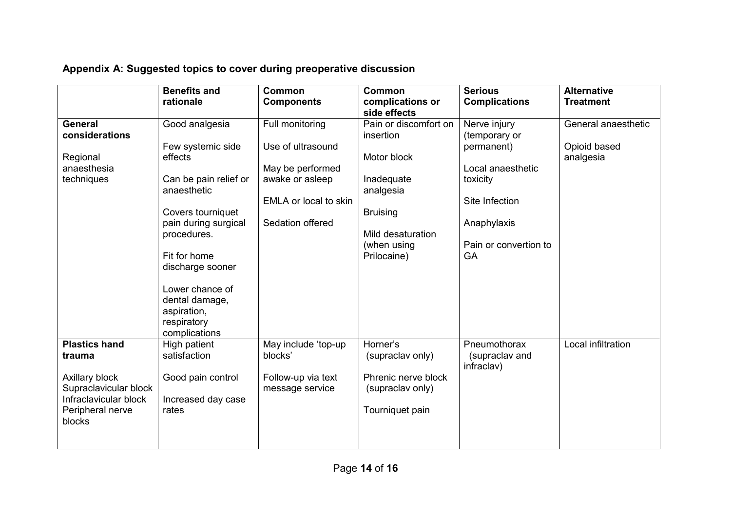|  | Appendix A: Suggested topics to cover during preoperative discussion |  |
|--|----------------------------------------------------------------------|--|
|  |                                                                      |  |

|                                                                                                                                  | <b>Benefits and</b><br>rationale                                                                                                                                                                                                                                           | <b>Common</b><br><b>Components</b>                                                                                       | <b>Common</b><br>complications or<br>side effects                                                                                                  | <b>Serious</b><br><b>Complications</b>                                                                                                       | <b>Alternative</b><br><b>Treatment</b>           |
|----------------------------------------------------------------------------------------------------------------------------------|----------------------------------------------------------------------------------------------------------------------------------------------------------------------------------------------------------------------------------------------------------------------------|--------------------------------------------------------------------------------------------------------------------------|----------------------------------------------------------------------------------------------------------------------------------------------------|----------------------------------------------------------------------------------------------------------------------------------------------|--------------------------------------------------|
| <b>General</b><br>considerations<br>Regional<br>anaesthesia<br>techniques                                                        | Good analgesia<br>Few systemic side<br>effects<br>Can be pain relief or<br>anaesthetic<br>Covers tourniquet<br>pain during surgical<br>procedures.<br>Fit for home<br>discharge sooner<br>Lower chance of<br>dental damage,<br>aspiration,<br>respiratory<br>complications | Full monitoring<br>Use of ultrasound<br>May be performed<br>awake or asleep<br>EMLA or local to skin<br>Sedation offered | Pain or discomfort on<br>insertion<br>Motor block<br>Inadequate<br>analgesia<br><b>Bruising</b><br>Mild desaturation<br>(when using<br>Prilocaine) | Nerve injury<br>(temporary or<br>permanent)<br>Local anaesthetic<br>toxicity<br>Site Infection<br>Anaphylaxis<br>Pain or convertion to<br>GA | General anaesthetic<br>Opioid based<br>analgesia |
| <b>Plastics hand</b><br>trauma<br>Axillary block<br>Supraclavicular block<br>Infraclavicular block<br>Peripheral nerve<br>blocks | High patient<br>satisfaction<br>Good pain control<br>Increased day case<br>rates                                                                                                                                                                                           | May include 'top-up<br>blocks'<br>Follow-up via text<br>message service                                                  | Horner's<br>(supraclav only)<br>Phrenic nerve block<br>(supraclav only)<br>Tourniquet pain                                                         | Pneumothorax<br>(supraclav and<br>infraclav)                                                                                                 | Local infiltration                               |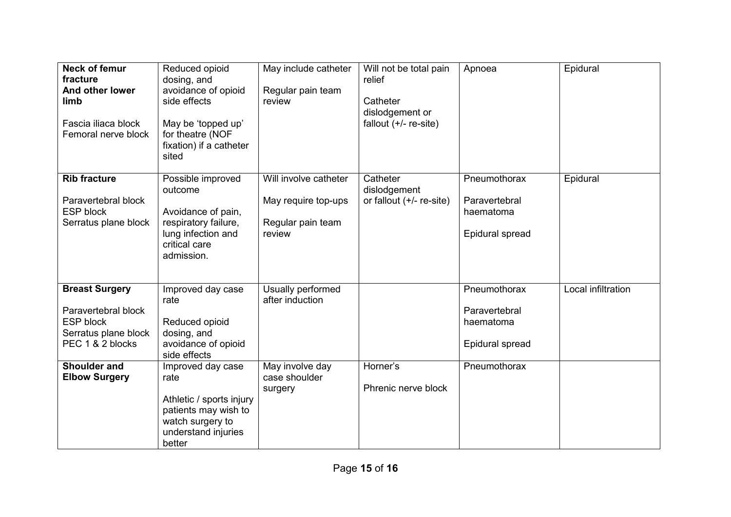| <b>Neck of femur</b><br>fracture<br>And other lower<br>limb<br>Fascia iliaca block<br>Femoral nerve block    | Reduced opioid<br>dosing, and<br>avoidance of opioid<br>side effects<br>May be 'topped up'<br>for theatre (NOF<br>fixation) if a catheter<br>sited | May include catheter<br>Regular pain team<br>review                         | Will not be total pain<br>relief<br>Catheter<br>dislodgement or<br>fallout $(+/-$ re-site) | Apnoea                                                        | Epidural           |
|--------------------------------------------------------------------------------------------------------------|----------------------------------------------------------------------------------------------------------------------------------------------------|-----------------------------------------------------------------------------|--------------------------------------------------------------------------------------------|---------------------------------------------------------------|--------------------|
| <b>Rib fracture</b><br>Paravertebral block<br><b>ESP block</b><br>Serratus plane block                       | Possible improved<br>outcome<br>Avoidance of pain,<br>respiratory failure,<br>lung infection and<br>critical care<br>admission.                    | Will involve catheter<br>May require top-ups<br>Regular pain team<br>review | Catheter<br>dislodgement<br>or fallout $(+/-$ re-site)                                     | Pneumothorax<br>Paravertebral<br>haematoma<br>Epidural spread | Epidural           |
| <b>Breast Surgery</b><br>Paravertebral block<br><b>ESP block</b><br>Serratus plane block<br>PEC 1 & 2 blocks | Improved day case<br>rate<br>Reduced opioid<br>dosing, and<br>avoidance of opioid<br>side effects                                                  | Usually performed<br>after induction                                        |                                                                                            | Pneumothorax<br>Paravertebral<br>haematoma<br>Epidural spread | Local infiltration |
| <b>Shoulder and</b><br><b>Elbow Surgery</b>                                                                  | Improved day case<br>rate<br>Athletic / sports injury<br>patients may wish to<br>watch surgery to<br>understand injuries<br>better                 | May involve day<br>case shoulder<br>surgery                                 | Horner's<br>Phrenic nerve block                                                            | Pneumothorax                                                  |                    |